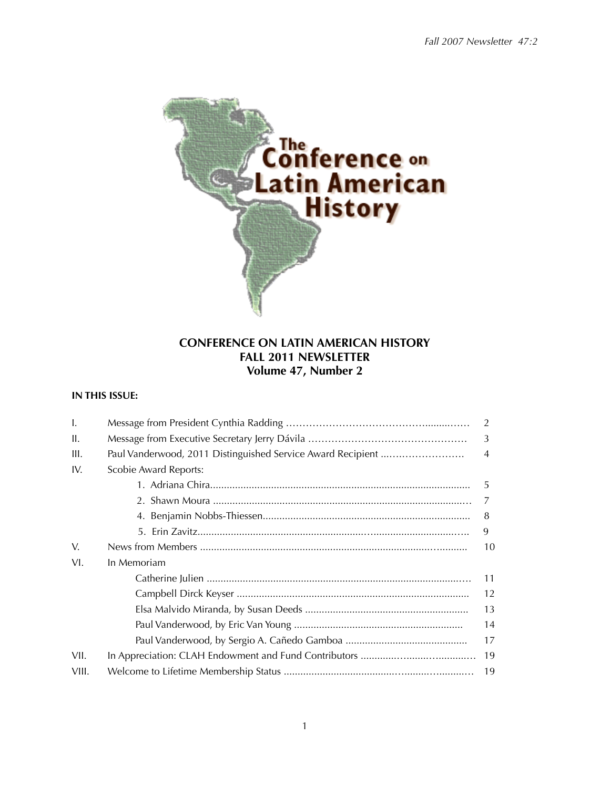

# **CONFERENCE ON LATIN AMERICAN HISTORY FALL 2011 NEWSLETTER Volume 47, Number 2**

# **IN THIS ISSUE:**

| Ι.    |                                                             | 2              |
|-------|-------------------------------------------------------------|----------------|
| H.    |                                                             | 3              |
| III.  | Paul Vanderwood, 2011 Distinguished Service Award Recipient | $\overline{4}$ |
| IV.   | Scobie Award Reports:                                       |                |
|       |                                                             | .5             |
|       |                                                             | 7              |
|       |                                                             | 8              |
|       |                                                             | 9              |
| V.    |                                                             | 10             |
| VI.   | In Memoriam                                                 |                |
|       |                                                             | 11             |
|       |                                                             | 12             |
|       |                                                             | 13             |
|       |                                                             | 14             |
|       |                                                             | 17             |
| VII.  |                                                             | 19             |
| VIII. |                                                             | 19             |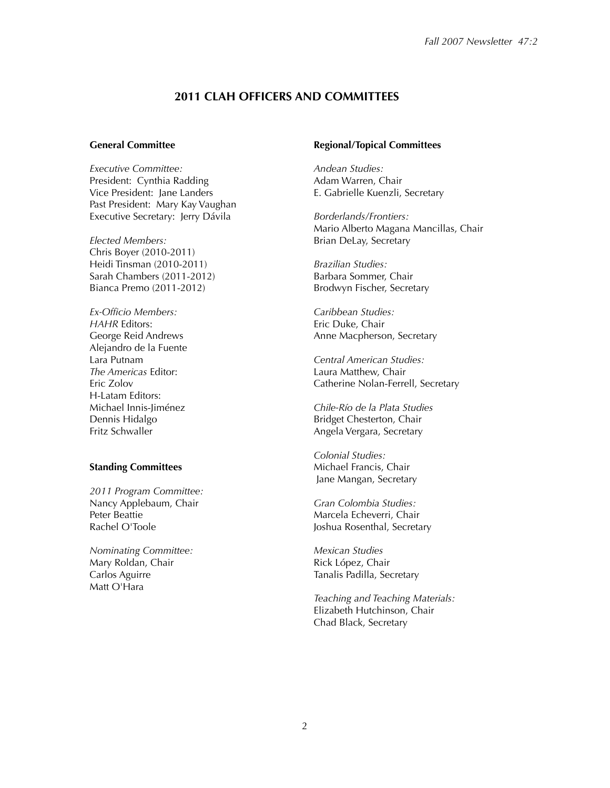## **2011 CLAH OFFICERS AND COMMITTEES**

#### **General Committee**

*Executive Committee:* President: Cynthia Radding Vice President: Jane Landers Past President: Mary Kay Vaughan Executive Secretary: Jerry Dávila

*Elected Members:* Chris Boyer (2010-2011) Heidi Tinsman (2010-2011) Sarah Chambers (2011-2012) Bianca Premo (2011-2012)

*Ex-Officio Members: HAHR* Editors: George Reid Andrews Alejandro de la Fuente Lara Putnam *The Americas* Editor: Eric Zolov H-Latam Editors: Michael Innis-Jiménez Dennis Hidalgo Fritz Schwaller

#### **Standing Committees**

*2011 Program Committee:* Nancy Applebaum, Chair Peter Beattie Rachel O'Toole

*Nominating Committee:* Mary Roldan, Chair Carlos Aguirre Matt O'Hara

#### **Regional/Topical Committees**

*Andean Studies:* Adam Warren, Chair E. Gabrielle Kuenzli, Secretary

*Borderlands/Frontiers:* Mario Alberto Magana Mancillas, Chair Brian DeLay, Secretary

*Brazilian Studies:* Barbara Sommer, Chair Brodwyn Fischer, Secretary

*Caribbean Studies:* Eric Duke, Chair Anne Macpherson, Secretary

*Central American Studies:* Laura Matthew, Chair Catherine Nolan-Ferrell, Secretary

*Chile-Río de la Plata Studies* Bridget Chesterton, Chair Angela Vergara, Secretary

*Colonial Studies:* Michael Francis, Chair Jane Mangan, Secretary

*Gran Colombia Studies:* Marcela Echeverri, Chair Joshua Rosenthal, Secretary

*Mexican Studies* Rick López, Chair Tanalis Padilla, Secretary

*Teaching and Teaching Materials:* Elizabeth Hutchinson, Chair Chad Black, Secretary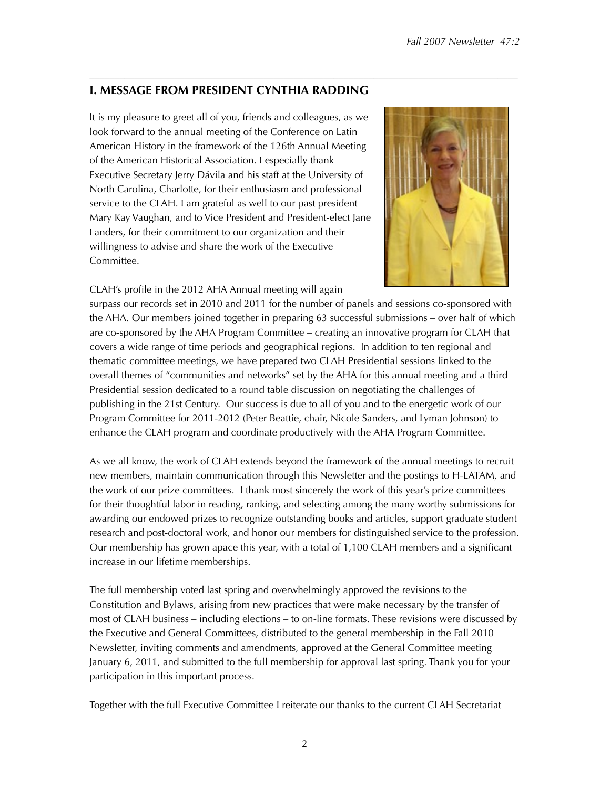# **I. MESSAGE FROM PRESIDENT CYNTHIA RADDING**

It is my pleasure to greet all of you, friends and colleagues, as we look forward to the annual meeting of the Conference on Latin American History in the framework of the 126th Annual Meeting of the American Historical Association. I especially thank Executive Secretary Jerry Dávila and his staff at the University of North Carolina, Charlotte, for their enthusiasm and professional service to the CLAH. I am grateful as well to our past president Mary Kay Vaughan, and to Vice President and President-elect Jane Landers, for their commitment to our organization and their willingness to advise and share the work of the Executive Committee.



CLAH's profile in the 2012 AHA Annual meeting will again

surpass our records set in 2010 and 2011 for the number of panels and sessions co-sponsored with the AHA. Our members joined together in preparing 63 successful submissions – over half of which are co-sponsored by the AHA Program Committee – creating an innovative program for CLAH that covers a wide range of time periods and geographical regions. In addition to ten regional and thematic committee meetings, we have prepared two CLAH Presidential sessions linked to the overall themes of "communities and networks" set by the AHA for this annual meeting and a third Presidential session dedicated to a round table discussion on negotiating the challenges of publishing in the 21st Century. Our success is due to all of you and to the energetic work of our Program Committee for 2011-2012 (Peter Beattie, chair, Nicole Sanders, and Lyman Johnson) to enhance the CLAH program and coordinate productively with the AHA Program Committee.

––––––––––––––––––––––––––––––––––––––––––––––––––––––––––––––––––––––––––––––––––––––

As we all know, the work of CLAH extends beyond the framework of the annual meetings to recruit new members, maintain communication through this Newsletter and the postings to H-LATAM, and the work of our prize committees. I thank most sincerely the work of this year's prize committees for their thoughtful labor in reading, ranking, and selecting among the many worthy submissions for awarding our endowed prizes to recognize outstanding books and articles, support graduate student research and post-doctoral work, and honor our members for distinguished service to the profession. Our membership has grown apace this year, with a total of 1,100 CLAH members and a significant increase in our lifetime memberships.

The full membership voted last spring and overwhelmingly approved the revisions to the Constitution and Bylaws, arising from new practices that were make necessary by the transfer of most of CLAH business – including elections – to on-line formats. These revisions were discussed by the Executive and General Committees, distributed to the general membership in the Fall 2010 Newsletter, inviting comments and amendments, approved at the General Committee meeting January 6, 2011, and submitted to the full membership for approval last spring. Thank you for your participation in this important process.

Together with the full Executive Committee I reiterate our thanks to the current CLAH Secretariat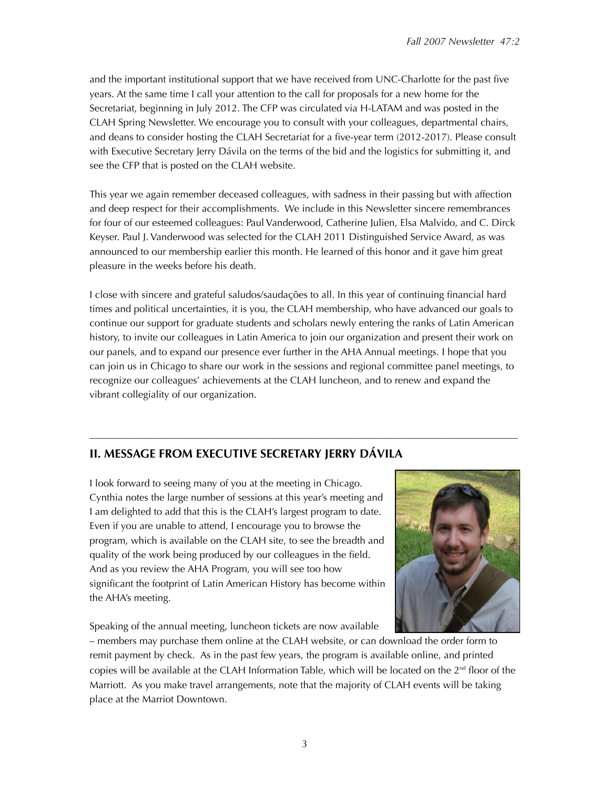and the important institutional support that we have received from UNC-Charlotte for the past five years. At the same time I call your attention to the call for proposals for a new home for the Secretariat, beginning in July 2012. The CFP was circulated via H-LATAM and was posted in the CLAH Spring Newsletter. We encourage you to consult with your colleagues, departmental chairs, and deans to consider hosting the CLAH Secretariat for a five-year term (2012-2017). Please consult with Executive Secretary Jerry Dávila on the terms of the bid and the logistics for submitting it, and see the CFP that is posted on the CLAH website.

This year we again remember deceased colleagues, with sadness in their passing but with affection and deep respect for their accomplishments. We include in this Newsletter sincere remembrances for four of our esteemed colleagues: Paul Vanderwood, Catherine Julien, Elsa Malvido, and C. Dirck Keyser. Paul J. Vanderwood was selected for the CLAH 2011 Distinguished Service Award, as was announced to our membership earlier this month. He learned of this honor and it gave him great pleasure in the weeks before his death.

I close with sincere and grateful saludos/saudações to all. In this year of continuing financial hard times and political uncertainties, it is you, the CLAH membership, who have advanced our goals to continue our support for graduate students and scholars newly entering the ranks of Latin American history, to invite our colleagues in Latin America to join our organization and present their work on our panels, and to expand our presence ever further in the AHA Annual meetings. I hope that you can join us in Chicago to share our work in the sessions and regional committee panel meetings, to recognize our colleagues' achievements at the CLAH luncheon, and to renew and expand the vibrant collegiality of our organization.

––––––––––––––––––––––––––––––––––––––––––––––––––––––––––––––––––––––––––––––––––––––

# **II. MESSAGE FROM EXECUTIVE SECRETARY JERRY DÁVILA**

I look forward to seeing many of you at the meeting in Chicago. Cynthia notes the large number of sessions at this year's meeting and I am delighted to add that this is the CLAH's largest program to date. Even if you are unable to attend, I encourage you to browse the program, which is available on the CLAH site, to see the breadth and quality of the work being produced by our colleagues in the field. And as you review the AHA Program, you will see too how significant the footprint of Latin American History has become within the AHA's meeting.

Speaking of the annual meeting, luncheon tickets are now available



– members may purchase them online at the CLAH website, or can download the order form to remit payment by check. As in the past few years, the program is available online, and printed copies will be available at the CLAH Information Table, which will be located on the  $2<sup>nd</sup>$  floor of the Marriott. As you make travel arrangements, note that the majority of CLAH events will be taking place at the Marriot Downtown.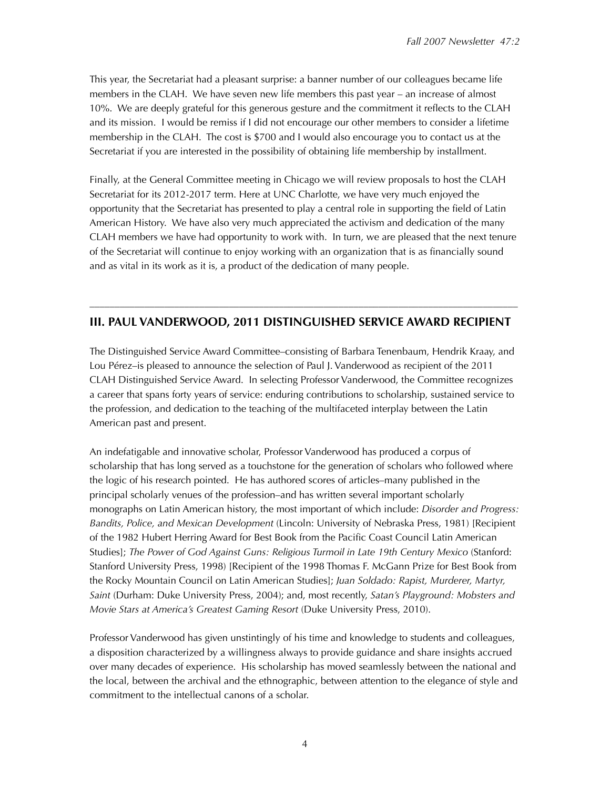This year, the Secretariat had a pleasant surprise: a banner number of our colleagues became life members in the CLAH. We have seven new life members this past year – an increase of almost 10%. We are deeply grateful for this generous gesture and the commitment it reflects to the CLAH and its mission. I would be remiss if I did not encourage our other members to consider a lifetime membership in the CLAH. The cost is \$700 and I would also encourage you to contact us at the Secretariat if you are interested in the possibility of obtaining life membership by installment.

Finally, at the General Committee meeting in Chicago we will review proposals to host the CLAH Secretariat for its 2012-2017 term. Here at UNC Charlotte, we have very much enjoyed the opportunity that the Secretariat has presented to play a central role in supporting the field of Latin American History. We have also very much appreciated the activism and dedication of the many CLAH members we have had opportunity to work with. In turn, we are pleased that the next tenure of the Secretariat will continue to enjoy working with an organization that is as financially sound and as vital in its work as it is, a product of the dedication of many people.

# –––––––––––––––––––––––––––––––––––––––––––––––––––––––––––––––––––––––––––––––––––––– **III. PAUL VANDERWOOD, 2011 DISTINGUISHED SERVICE AWARD RECIPIENT**

The Distinguished Service Award Committee–consisting of Barbara Tenenbaum, Hendrik Kraay, and Lou Pérez–is pleased to announce the selection of Paul J. Vanderwood as recipient of the 2011 CLAH Distinguished Service Award. In selecting Professor Vanderwood, the Committee recognizes a career that spans forty years of service: enduring contributions to scholarship, sustained service to the profession, and dedication to the teaching of the multifaceted interplay between the Latin American past and present.

An indefatigable and innovative scholar, Professor Vanderwood has produced a corpus of scholarship that has long served as a touchstone for the generation of scholars who followed where the logic of his research pointed. He has authored scores of articles–many published in the principal scholarly venues of the profession–and has written several important scholarly monographs on Latin American history, the most important of which include: *Disorder and Progress: Bandits, Police, and Mexican Development* (Lincoln: University of Nebraska Press, 1981) [Recipient of the 1982 Hubert Herring Award for Best Book from the Pacific Coast Council Latin American Studies]; *The Power of God Against Guns: Religious Turmoil in Late 19th Century Mexico* (Stanford: Stanford University Press, 1998) [Recipient of the 1998 Thomas F. McGann Prize for Best Book from the Rocky Mountain Council on Latin American Studies]; *Juan Soldado: Rapist, Murderer, Martyr, Saint* (Durham: Duke University Press, 2004); and, most recently, *Satan's Playground: Mobsters and Movie Stars at America's Greatest Gaming Resort* (Duke University Press, 2010).

Professor Vanderwood has given unstintingly of his time and knowledge to students and colleagues, a disposition characterized by a willingness always to provide guidance and share insights accrued over many decades of experience. His scholarship has moved seamlessly between the national and the local, between the archival and the ethnographic, between attention to the elegance of style and commitment to the intellectual canons of a scholar.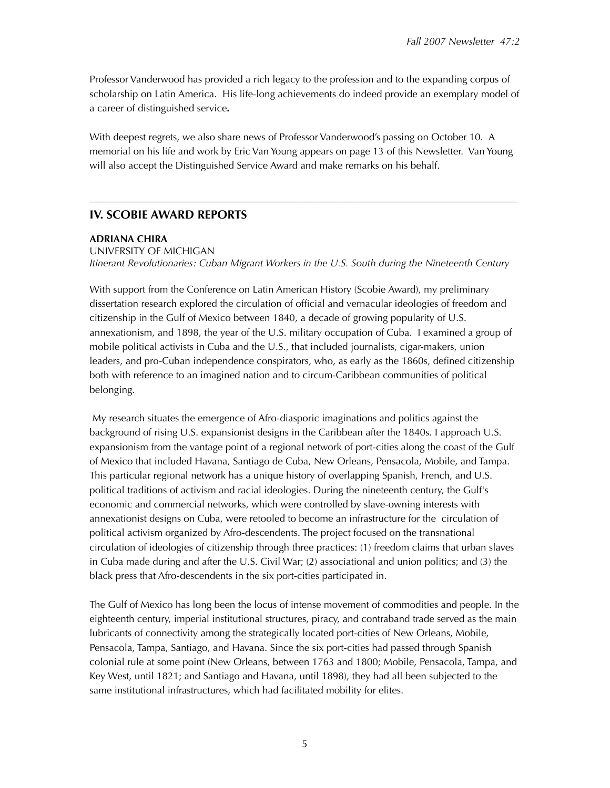Professor Vanderwood has provided a rich legacy to the profession and to the expanding corpus of scholarship on Latin America. His life-long achievements do indeed provide an exemplary model of a career of distinguished service**.**

With deepest regrets, we also share news of Professor Vanderwood's passing on October 10. A memorial on his life and work by Eric Van Young appears on page 13 of this Newsletter. Van Young will also accept the Distinguished Service Award and make remarks on his behalf.

––––––––––––––––––––––––––––––––––––––––––––––––––––––––––––––––––––––––––––––––––––––

## **IV. SCOBIE AWARD REPORTS**

### **ADRIANA CHIRA**

UNIVERSITY OF MICHIGAN *Itinerant Revolutionaries: Cuban Migrant Workers in the U.S. South during the Nineteenth Century*

With support from the Conference on Latin American History (Scobie Award), my preliminary dissertation research explored the circulation of official and vernacular ideologies of freedom and citizenship in the Gulf of Mexico between 1840, a decade of growing popularity of U.S. annexationism, and 1898, the year of the U.S. military occupation of Cuba. I examined a group of mobile political activists in Cuba and the U.S., that included journalists, cigar-makers, union leaders, and pro-Cuban independence conspirators, who, as early as the 1860s, defined citizenship both with reference to an imagined nation and to circum-Caribbean communities of political belonging.

 My research situates the emergence of Afro-diasporic imaginations and politics against the background of rising U.S. expansionist designs in the Caribbean after the 1840s. I approach U.S. expansionism from the vantage point of a regional network of port-cities along the coast of the Gulf of Mexico that included Havana, Santiago de Cuba, New Orleans, Pensacola, Mobile, and Tampa. This particular regional network has a unique history of overlapping Spanish, French, and U.S. political traditions of activism and racial ideologies. During the nineteenth century, the Gulf's economic and commercial networks, which were controlled by slave-owning interests with annexationist designs on Cuba, were retooled to become an infrastructure for the circulation of political activism organized by Afro-descendents. The project focused on the transnational circulation of ideologies of citizenship through three practices: (1) freedom claims that urban slaves in Cuba made during and after the U.S. Civil War; (2) associational and union politics; and (3) the black press that Afro-descendents in the six port-cities participated in.

The Gulf of Mexico has long been the locus of intense movement of commodities and people. In the eighteenth century, imperial institutional structures, piracy, and contraband trade served as the main lubricants of connectivity among the strategically located port-cities of New Orleans, Mobile, Pensacola, Tampa, Santiago, and Havana. Since the six port-cities had passed through Spanish colonial rule at some point (New Orleans, between 1763 and 1800; Mobile, Pensacola, Tampa, and Key West, until 1821; and Santiago and Havana, until 1898), they had all been subjected to the same institutional infrastructures, which had facilitated mobility for elites.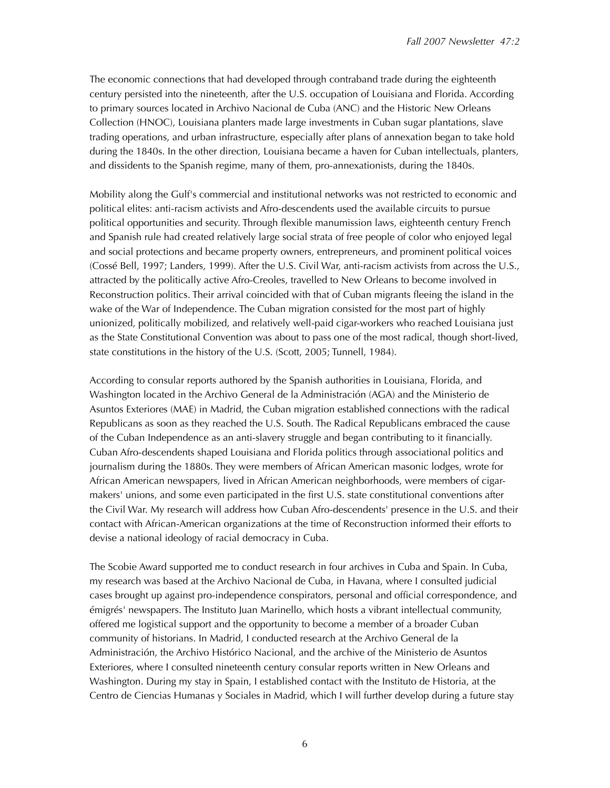The economic connections that had developed through contraband trade during the eighteenth century persisted into the nineteenth, after the U.S. occupation of Louisiana and Florida. According to primary sources located in Archivo Nacional de Cuba (ANC) and the Historic New Orleans Collection (HNOC), Louisiana planters made large investments in Cuban sugar plantations, slave trading operations, and urban infrastructure, especially after plans of annexation began to take hold during the 1840s. In the other direction, Louisiana became a haven for Cuban intellectuals, planters, and dissidents to the Spanish regime, many of them, pro-annexationists, during the 1840s.

Mobility along the Gulf's commercial and institutional networks was not restricted to economic and political elites: anti-racism activists and Afro-descendents used the available circuits to pursue political opportunities and security. Through flexible manumission laws, eighteenth century French and Spanish rule had created relatively large social strata of free people of color who enjoyed legal and social protections and became property owners, entrepreneurs, and prominent political voices (Cossé Bell, 1997; Landers, 1999). After the U.S. Civil War, anti-racism activists from across the U.S., attracted by the politically active Afro-Creoles, travelled to New Orleans to become involved in Reconstruction politics. Their arrival coincided with that of Cuban migrants fleeing the island in the wake of the War of Independence. The Cuban migration consisted for the most part of highly unionized, politically mobilized, and relatively well-paid cigar-workers who reached Louisiana just as the State Constitutional Convention was about to pass one of the most radical, though short-lived, state constitutions in the history of the U.S. (Scott, 2005; Tunnell, 1984).

According to consular reports authored by the Spanish authorities in Louisiana, Florida, and Washington located in the Archivo General de la Administración (AGA) and the Ministerio de Asuntos Exteriores (MAE) in Madrid, the Cuban migration established connections with the radical Republicans as soon as they reached the U.S. South. The Radical Republicans embraced the cause of the Cuban Independence as an anti-slavery struggle and began contributing to it financially. Cuban Afro-descendents shaped Louisiana and Florida politics through associational politics and journalism during the 1880s. They were members of African American masonic lodges, wrote for African American newspapers, lived in African American neighborhoods, were members of cigarmakers' unions, and some even participated in the first U.S. state constitutional conventions after the Civil War. My research will address how Cuban Afro-descendents' presence in the U.S. and their contact with African-American organizations at the time of Reconstruction informed their efforts to devise a national ideology of racial democracy in Cuba.

The Scobie Award supported me to conduct research in four archives in Cuba and Spain. In Cuba, my research was based at the Archivo Nacional de Cuba, in Havana, where I consulted judicial cases brought up against pro-independence conspirators, personal and official correspondence, and émigrés' newspapers. The Instituto Juan Marinello, which hosts a vibrant intellectual community, offered me logistical support and the opportunity to become a member of a broader Cuban community of historians. In Madrid, I conducted research at the Archivo General de la Administración, the Archivo Histórico Nacional, and the archive of the Ministerio de Asuntos Exteriores, where I consulted nineteenth century consular reports written in New Orleans and Washington. During my stay in Spain, I established contact with the Instituto de Historia, at the Centro de Ciencias Humanas y Sociales in Madrid, which I will further develop during a future stay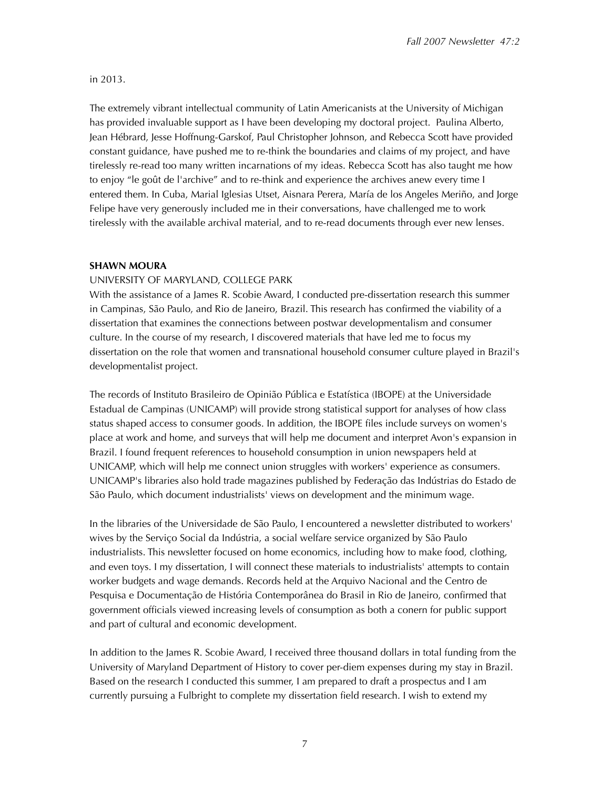## in 2013.

The extremely vibrant intellectual community of Latin Americanists at the University of Michigan has provided invaluable support as I have been developing my doctoral project. Paulina Alberto, Jean Hébrard, Jesse Hoffnung-Garskof, Paul Christopher Johnson, and Rebecca Scott have provided constant guidance, have pushed me to re-think the boundaries and claims of my project, and have tirelessly re-read too many written incarnations of my ideas. Rebecca Scott has also taught me how to enjoy "le goût de l'archive" and to re-think and experience the archives anew every time I entered them. In Cuba, Marial Iglesias Utset, Aisnara Perera, María de los Angeles Meriño, and Jorge Felipe have very generously included me in their conversations, have challenged me to work tirelessly with the available archival material, and to re-read documents through ever new lenses.

## **SHAWN MOURA**

## UNIVERSITY OF MARYLAND, COLLEGE PARK

With the assistance of a James R. Scobie Award, I conducted pre-dissertation research this summer in Campinas, São Paulo, and Rio de Janeiro, Brazil. This research has confirmed the viability of a dissertation that examines the connections between postwar developmentalism and consumer culture. In the course of my research, I discovered materials that have led me to focus my dissertation on the role that women and transnational household consumer culture played in Brazil's developmentalist project.

The records of Instituto Brasileiro de Opinião Pública e Estatística (IBOPE) at the Universidade Estadual de Campinas (UNICAMP) will provide strong statistical support for analyses of how class status shaped access to consumer goods. In addition, the IBOPE files include surveys on women's place at work and home, and surveys that will help me document and interpret Avon's expansion in Brazil. I found frequent references to household consumption in union newspapers held at UNICAMP, which will help me connect union struggles with workers' experience as consumers. UNICAMP's libraries also hold trade magazines published by Federação das Indústrias do Estado de São Paulo, which document industrialists' views on development and the minimum wage.

In the libraries of the Universidade de São Paulo, I encountered a newsletter distributed to workers' wives by the Serviço Social da Indústria, a social welfare service organized by São Paulo industrialists. This newsletter focused on home economics, including how to make food, clothing, and even toys. I my dissertation, I will connect these materials to industrialists' attempts to contain worker budgets and wage demands. Records held at the Arquivo Nacional and the Centro de Pesquisa e Documentação de História Contemporânea do Brasil in Rio de Janeiro, confirmed that government officials viewed increasing levels of consumption as both a conern for public support and part of cultural and economic development.

In addition to the James R. Scobie Award, I received three thousand dollars in total funding from the University of Maryland Department of History to cover per-diem expenses during my stay in Brazil. Based on the research I conducted this summer, I am prepared to draft a prospectus and I am currently pursuing a Fulbright to complete my dissertation field research. I wish to extend my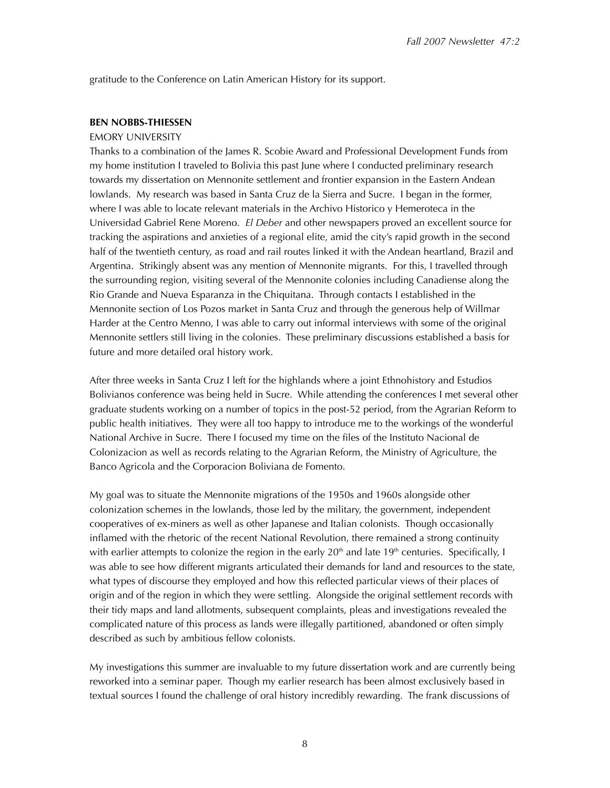gratitude to the Conference on Latin American History for its support.

#### **BEN NOBBS-THIESSEN**

#### EMORY UNIVERSITY

Thanks to a combination of the James R. Scobie Award and Professional Development Funds from my home institution I traveled to Bolivia this past June where I conducted preliminary research towards my dissertation on Mennonite settlement and frontier expansion in the Eastern Andean lowlands. My research was based in Santa Cruz de la Sierra and Sucre. I began in the former, where I was able to locate relevant materials in the Archivo Historico y Hemeroteca in the Universidad Gabriel Rene Moreno. *El Deber* and other newspapers proved an excellent source for tracking the aspirations and anxieties of a regional elite, amid the city's rapid growth in the second half of the twentieth century, as road and rail routes linked it with the Andean heartland, Brazil and Argentina. Strikingly absent was any mention of Mennonite migrants. For this, I travelled through the surrounding region, visiting several of the Mennonite colonies including Canadiense along the Rio Grande and Nueva Esparanza in the Chiquitana. Through contacts I established in the Mennonite section of Los Pozos market in Santa Cruz and through the generous help of Willmar Harder at the Centro Menno, I was able to carry out informal interviews with some of the original Mennonite settlers still living in the colonies. These preliminary discussions established a basis for future and more detailed oral history work.

After three weeks in Santa Cruz I left for the highlands where a joint Ethnohistory and Estudios Bolivianos conference was being held in Sucre. While attending the conferences I met several other graduate students working on a number of topics in the post-52 period, from the Agrarian Reform to public health initiatives. They were all too happy to introduce me to the workings of the wonderful National Archive in Sucre. There I focused my time on the files of the Instituto Nacional de Colonizacion as well as records relating to the Agrarian Reform, the Ministry of Agriculture, the Banco Agricola and the Corporacion Boliviana de Fomento.

My goal was to situate the Mennonite migrations of the 1950s and 1960s alongside other colonization schemes in the lowlands, those led by the military, the government, independent cooperatives of ex-miners as well as other Japanese and Italian colonists. Though occasionally inflamed with the rhetoric of the recent National Revolution, there remained a strong continuity with earlier attempts to colonize the region in the early  $20<sup>th</sup>$  and late  $19<sup>th</sup>$  centuries. Specifically, I was able to see how different migrants articulated their demands for land and resources to the state, what types of discourse they employed and how this reflected particular views of their places of origin and of the region in which they were settling. Alongside the original settlement records with their tidy maps and land allotments, subsequent complaints, pleas and investigations revealed the complicated nature of this process as lands were illegally partitioned, abandoned or often simply described as such by ambitious fellow colonists.

My investigations this summer are invaluable to my future dissertation work and are currently being reworked into a seminar paper. Though my earlier research has been almost exclusively based in textual sources I found the challenge of oral history incredibly rewarding. The frank discussions of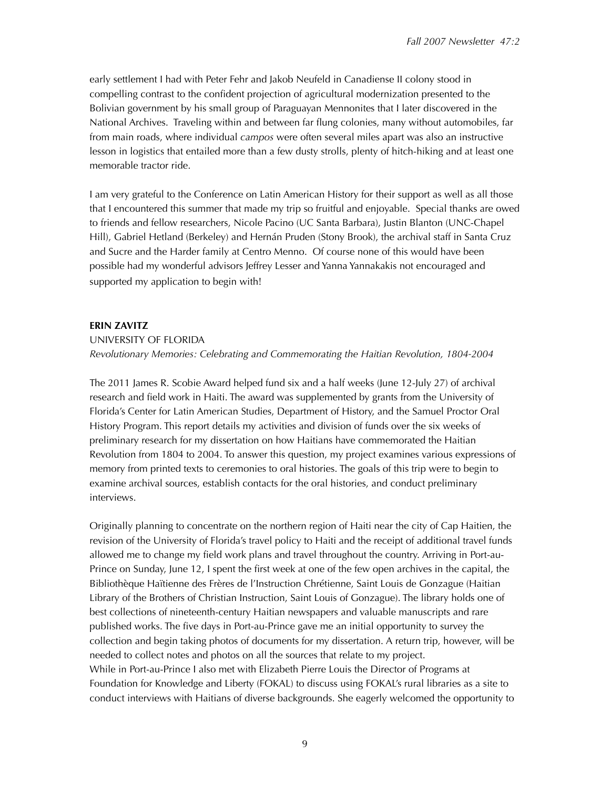early settlement I had with Peter Fehr and Jakob Neufeld in Canadiense II colony stood in compelling contrast to the confident projection of agricultural modernization presented to the Bolivian government by his small group of Paraguayan Mennonites that I later discovered in the National Archives. Traveling within and between far flung colonies, many without automobiles, far from main roads, where individual *campos* were often several miles apart was also an instructive lesson in logistics that entailed more than a few dusty strolls, plenty of hitch-hiking and at least one memorable tractor ride.

I am very grateful to the Conference on Latin American History for their support as well as all those that I encountered this summer that made my trip so fruitful and enjoyable. Special thanks are owed to friends and fellow researchers, Nicole Pacino (UC Santa Barbara), Justin Blanton (UNC-Chapel Hill), Gabriel Hetland (Berkeley) and Hernán Pruden (Stony Brook), the archival staff in Santa Cruz and Sucre and the Harder family at Centro Menno. Of course none of this would have been possible had my wonderful advisors Jeffrey Lesser and Yanna Yannakakis not encouraged and supported my application to begin with!

## **ERIN ZAVITZ**

```
UNIVERSITY OF FLORIDA
```
*Revolutionary Memories: Celebrating and Commemorating the Haitian Revolution, 1804-2004*

The 2011 James R. Scobie Award helped fund six and a half weeks (June 12-July 27) of archival research and field work in Haiti. The award was supplemented by grants from the University of Florida's Center for Latin American Studies, Department of History, and the Samuel Proctor Oral History Program. This report details my activities and division of funds over the six weeks of preliminary research for my dissertation on how Haitians have commemorated the Haitian Revolution from 1804 to 2004. To answer this question, my project examines various expressions of memory from printed texts to ceremonies to oral histories. The goals of this trip were to begin to examine archival sources, establish contacts for the oral histories, and conduct preliminary interviews.

Originally planning to concentrate on the northern region of Haiti near the city of Cap Haitien, the revision of the University of Florida's travel policy to Haiti and the receipt of additional travel funds allowed me to change my field work plans and travel throughout the country. Arriving in Port-au-Prince on Sunday, June 12, I spent the first week at one of the few open archives in the capital, the Bibliothèque Haïtienne des Frères de l'Instruction Chrétienne, Saint Louis de Gonzague (Haitian Library of the Brothers of Christian Instruction, Saint Louis of Gonzague). The library holds one of best collections of nineteenth-century Haitian newspapers and valuable manuscripts and rare published works. The five days in Port-au-Prince gave me an initial opportunity to survey the collection and begin taking photos of documents for my dissertation. A return trip, however, will be needed to collect notes and photos on all the sources that relate to my project. While in Port-au-Prince I also met with Elizabeth Pierre Louis the Director of Programs at Foundation for Knowledge and Liberty (FOKAL) to discuss using FOKAL's rural libraries as a site to conduct interviews with Haitians of diverse backgrounds. She eagerly welcomed the opportunity to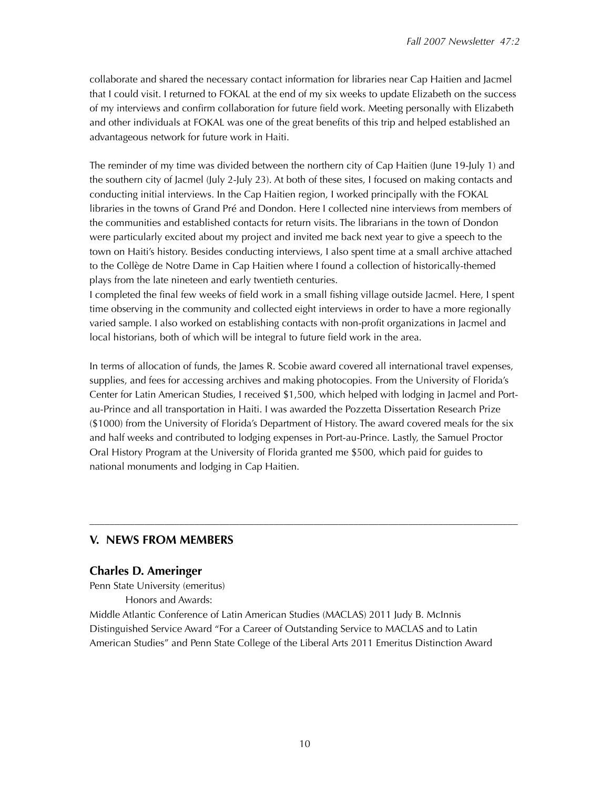collaborate and shared the necessary contact information for libraries near Cap Haitien and Jacmel that I could visit. I returned to FOKAL at the end of my six weeks to update Elizabeth on the success of my interviews and confirm collaboration for future field work. Meeting personally with Elizabeth and other individuals at FOKAL was one of the great benefits of this trip and helped established an advantageous network for future work in Haiti.

The reminder of my time was divided between the northern city of Cap Haitien (June 19-July 1) and the southern city of Jacmel (July 2-July 23). At both of these sites, I focused on making contacts and conducting initial interviews. In the Cap Haitien region, I worked principally with the FOKAL libraries in the towns of Grand Pré and Dondon. Here I collected nine interviews from members of the communities and established contacts for return visits. The librarians in the town of Dondon were particularly excited about my project and invited me back next year to give a speech to the town on Haiti's history. Besides conducting interviews, I also spent time at a small archive attached to the Collège de Notre Dame in Cap Haitien where I found a collection of historically-themed plays from the late nineteen and early twentieth centuries.

I completed the final few weeks of field work in a small fishing village outside Jacmel. Here, I spent time observing in the community and collected eight interviews in order to have a more regionally varied sample. I also worked on establishing contacts with non-profit organizations in Jacmel and local historians, both of which will be integral to future field work in the area.

In terms of allocation of funds, the James R. Scobie award covered all international travel expenses, supplies, and fees for accessing archives and making photocopies. From the University of Florida's Center for Latin American Studies, I received \$1,500, which helped with lodging in Jacmel and Portau-Prince and all transportation in Haiti. I was awarded the Pozzetta Dissertation Research Prize (\$1000) from the University of Florida's Department of History. The award covered meals for the six and half weeks and contributed to lodging expenses in Port-au-Prince. Lastly, the Samuel Proctor Oral History Program at the University of Florida granted me \$500, which paid for guides to national monuments and lodging in Cap Haitien.

––––––––––––––––––––––––––––––––––––––––––––––––––––––––––––––––––––––––––––––––––––––

# **V. NEWS FROM MEMBERS**

## **Charles D. Ameringer**

Penn State University (emeritus)

Honors and Awards:

Middle Atlantic Conference of Latin American Studies (MACLAS) 2011 Judy B. McInnis Distinguished Service Award "For a Career of Outstanding Service to MACLAS and to Latin American Studies" and Penn State College of the Liberal Arts 2011 Emeritus Distinction Award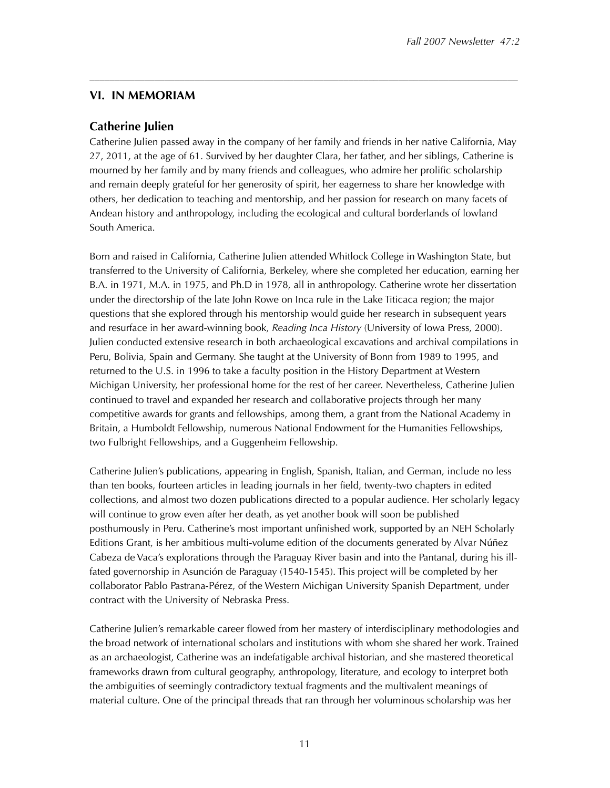# **VI. IN MEMORIAM**

## **Catherine Julien**

Catherine Julien passed away in the company of her family and friends in her native California, May 27, 2011, at the age of 61. Survived by her daughter Clara, her father, and her siblings, Catherine is mourned by her family and by many friends and colleagues, who admire her prolific scholarship and remain deeply grateful for her generosity of spirit, her eagerness to share her knowledge with others, her dedication to teaching and mentorship, and her passion for research on many facets of Andean history and anthropology, including the ecological and cultural borderlands of lowland South America.

––––––––––––––––––––––––––––––––––––––––––––––––––––––––––––––––––––––––––––––––––––––

Born and raised in California, Catherine Julien attended Whitlock College in Washington State, but transferred to the University of California, Berkeley, where she completed her education, earning her B.A. in 1971, M.A. in 1975, and Ph.D in 1978, all in anthropology. Catherine wrote her dissertation under the directorship of the late John Rowe on Inca rule in the Lake Titicaca region; the major questions that she explored through his mentorship would guide her research in subsequent years and resurface in her award-winning book, *Reading Inca History* (University of Iowa Press, 2000). Julien conducted extensive research in both archaeological excavations and archival compilations in Peru, Bolivia, Spain and Germany. She taught at the University of Bonn from 1989 to 1995, and returned to the U.S. in 1996 to take a faculty position in the History Department at Western Michigan University, her professional home for the rest of her career. Nevertheless, Catherine Julien continued to travel and expanded her research and collaborative projects through her many competitive awards for grants and fellowships, among them, a grant from the National Academy in Britain, a Humboldt Fellowship, numerous National Endowment for the Humanities Fellowships, two Fulbright Fellowships, and a Guggenheim Fellowship.

Catherine Julien's publications, appearing in English, Spanish, Italian, and German, include no less than ten books, fourteen articles in leading journals in her field, twenty-two chapters in edited collections, and almost two dozen publications directed to a popular audience. Her scholarly legacy will continue to grow even after her death, as yet another book will soon be published posthumously in Peru. Catherine's most important unfinished work, supported by an NEH Scholarly Editions Grant, is her ambitious multi-volume edition of the documents generated by Alvar Núñez Cabeza de Vaca's explorations through the Paraguay River basin and into the Pantanal, during his illfated governorship in Asunción de Paraguay (1540-1545). This project will be completed by her collaborator Pablo Pastrana-Pérez, of the Western Michigan University Spanish Department, under contract with the University of Nebraska Press.

Catherine Julien's remarkable career flowed from her mastery of interdisciplinary methodologies and the broad network of international scholars and institutions with whom she shared her work. Trained as an archaeologist, Catherine was an indefatigable archival historian, and she mastered theoretical frameworks drawn from cultural geography, anthropology, literature, and ecology to interpret both the ambiguities of seemingly contradictory textual fragments and the multivalent meanings of material culture. One of the principal threads that ran through her voluminous scholarship was her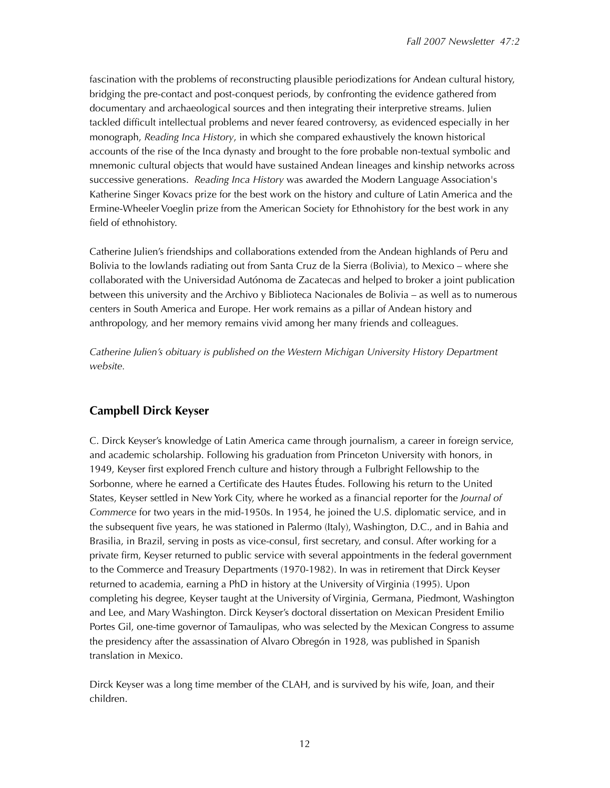fascination with the problems of reconstructing plausible periodizations for Andean cultural history, bridging the pre-contact and post-conquest periods, by confronting the evidence gathered from documentary and archaeological sources and then integrating their interpretive streams. Julien tackled difficult intellectual problems and never feared controversy, as evidenced especially in her monograph, *Reading Inca History*, in which she compared exhaustively the known historical accounts of the rise of the Inca dynasty and brought to the fore probable non-textual symbolic and mnemonic cultural objects that would have sustained Andean lineages and kinship networks across successive generations. *Reading Inca History* was awarded the Modern Language Association's Katherine Singer Kovacs prize for the best work on the history and culture of Latin America and the Ermine-Wheeler Voeglin prize from the American Society for Ethnohistory for the best work in any field of ethnohistory.

Catherine Julien's friendships and collaborations extended from the Andean highlands of Peru and Bolivia to the lowlands radiating out from Santa Cruz de la Sierra (Bolivia), to Mexico – where she collaborated with the Universidad Autónoma de Zacatecas and helped to broker a joint publication between this university and the Archivo y Biblioteca Nacionales de Bolivia – as well as to numerous centers in South America and Europe. Her work remains as a pillar of Andean history and anthropology, and her memory remains vivid among her many friends and colleagues.

*Catherine Julien's obituary is published on the Western Michigan University History Department website.* 

# **Campbell Dirck Keyser**

C. Dirck Keyser's knowledge of Latin America came through journalism, a career in foreign service, and academic scholarship. Following his graduation from Princeton University with honors, in 1949, Keyser first explored French culture and history through a Fulbright Fellowship to the Sorbonne, where he earned a Certificate des Hautes Études. Following his return to the United States, Keyser settled in New York City, where he worked as a financial reporter for the *Journal of Commerce* for two years in the mid-1950s. In 1954, he joined the U.S. diplomatic service, and in the subsequent five years, he was stationed in Palermo (Italy), Washington, D.C., and in Bahia and Brasilia, in Brazil, serving in posts as vice-consul, first secretary, and consul. After working for a private firm, Keyser returned to public service with several appointments in the federal government to the Commerce and Treasury Departments (1970-1982). In was in retirement that Dirck Keyser returned to academia, earning a PhD in history at the University of Virginia (1995). Upon completing his degree, Keyser taught at the University of Virginia, Germana, Piedmont, Washington and Lee, and Mary Washington. Dirck Keyser's doctoral dissertation on Mexican President Emilio Portes Gil, one-time governor of Tamaulipas, who was selected by the Mexican Congress to assume the presidency after the assassination of Alvaro Obregón in 1928, was published in Spanish translation in Mexico.

Dirck Keyser was a long time member of the CLAH, and is survived by his wife, Joan, and their children.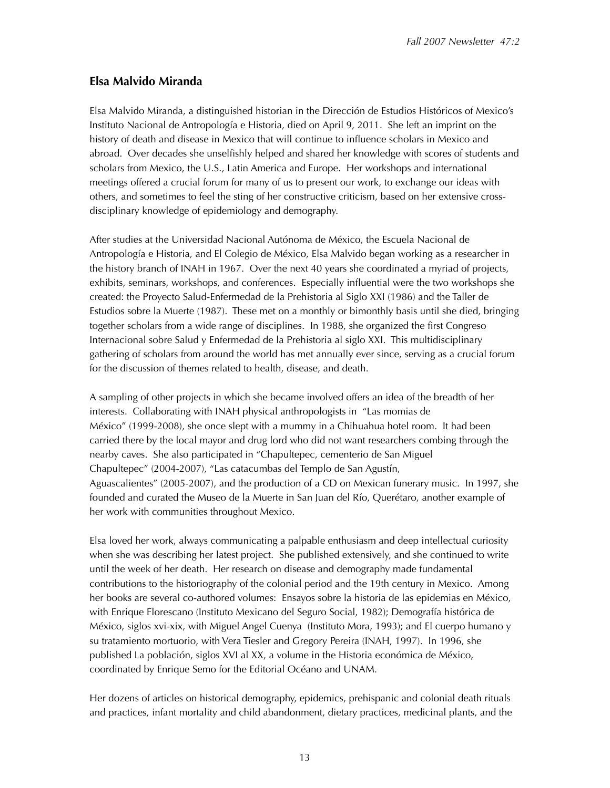# **Elsa Malvido Miranda**

Elsa Malvido Miranda, a distinguished historian in the Dirección de Estudios Históricos of Mexico's Instituto Nacional de Antropología e Historia, died on April 9, 2011. She left an imprint on the history of death and disease in Mexico that will continue to influence scholars in Mexico and abroad. Over decades she unselfishly helped and shared her knowledge with scores of students and scholars from Mexico, the U.S., Latin America and Europe. Her workshops and international meetings offered a crucial forum for many of us to present our work, to exchange our ideas with others, and sometimes to feel the sting of her constructive criticism, based on her extensive crossdisciplinary knowledge of epidemiology and demography.

After studies at the Universidad Nacional Autónoma de México, the Escuela Nacional de Antropología e Historia, and El Colegio de México, Elsa Malvido began working as a researcher in the history branch of INAH in 1967. Over the next 40 years she coordinated a myriad of projects, exhibits, seminars, workshops, and conferences. Especially influential were the two workshops she created: the Proyecto Salud-Enfermedad de la Prehistoria al Siglo XXI (1986) and the Taller de Estudios sobre la Muerte (1987). These met on a monthly or bimonthly basis until she died, bringing together scholars from a wide range of disciplines. In 1988, she organized the first Congreso Internacional sobre Salud y Enfermedad de la Prehistoria al siglo XXI. This multidisciplinary gathering of scholars from around the world has met annually ever since, serving as a crucial forum for the discussion of themes related to health, disease, and death.

A sampling of other projects in which she became involved offers an idea of the breadth of her interests. Collaborating with INAH physical anthropologists in "Las momias de México" (1999-2008), she once slept with a mummy in a Chihuahua hotel room. It had been carried there by the local mayor and drug lord who did not want researchers combing through the nearby caves. She also participated in "Chapultepec, cementerio de San Miguel Chapultepec" (2004-2007), "Las catacumbas del Templo de San Agustín, Aguascalientes" (2005-2007), and the production of a CD on Mexican funerary music. In 1997, she founded and curated the Museo de la Muerte in San Juan del Río, Querétaro, another example of her work with communities throughout Mexico.

Elsa loved her work, always communicating a palpable enthusiasm and deep intellectual curiosity when she was describing her latest project. She published extensively, and she continued to write until the week of her death. Her research on disease and demography made fundamental contributions to the historiography of the colonial period and the 19th century in Mexico. Among her books are several co-authored volumes: Ensayos sobre la historia de las epidemias en México, with Enrique Florescano (Instituto Mexicano del Seguro Social, 1982); Demografía histórica de México, siglos xvi-xix, with Miguel Angel Cuenya (Instituto Mora, 1993); and El cuerpo humano y su tratamiento mortuorio, with Vera Tiesler and Gregory Pereira (INAH, 1997). In 1996, she published La población, siglos XVI al XX, a volume in the Historia económica de México, coordinated by Enrique Semo for the Editorial Océano and UNAM.

Her dozens of articles on historical demography, epidemics, prehispanic and colonial death rituals and practices, infant mortality and child abandonment, dietary practices, medicinal plants, and the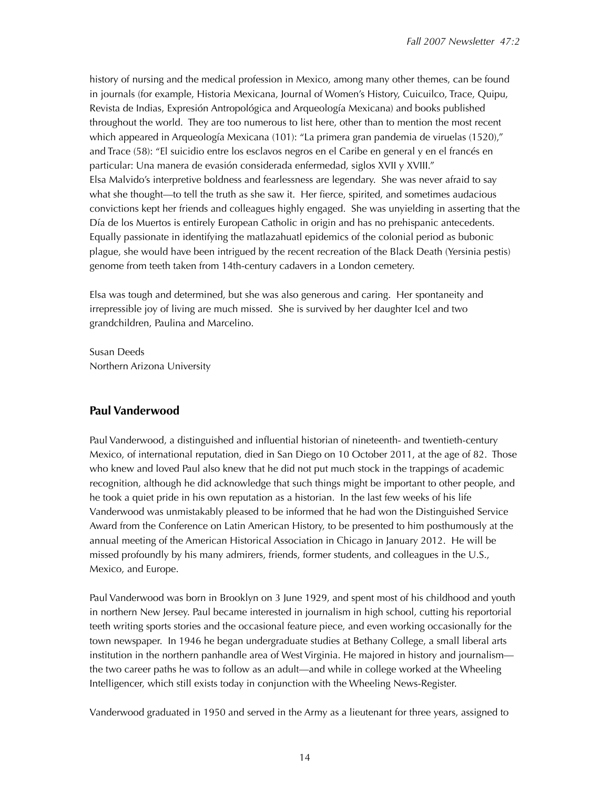history of nursing and the medical profession in Mexico, among many other themes, can be found in journals (for example, Historia Mexicana, Journal of Women's History, Cuicuilco, Trace, Quipu, Revista de Indias, Expresión Antropológica and Arqueología Mexicana) and books published throughout the world. They are too numerous to list here, other than to mention the most recent which appeared in Arqueología Mexicana (101): "La primera gran pandemia de viruelas (1520)," and Trace (58): "El suicidio entre los esclavos negros en el Caribe en general y en el francés en particular: Una manera de evasión considerada enfermedad, siglos XVII y XVIII." Elsa Malvido's interpretive boldness and fearlessness are legendary. She was never afraid to say what she thought—to tell the truth as she saw it. Her fierce, spirited, and sometimes audacious convictions kept her friends and colleagues highly engaged. She was unyielding in asserting that the Día de los Muertos is entirely European Catholic in origin and has no prehispanic antecedents. Equally passionate in identifying the matlazahuatl epidemics of the colonial period as bubonic plague, she would have been intrigued by the recent recreation of the Black Death (Yersinia pestis) genome from teeth taken from 14th-century cadavers in a London cemetery.

Elsa was tough and determined, but she was also generous and caring. Her spontaneity and irrepressible joy of living are much missed. She is survived by her daughter Icel and two grandchildren, Paulina and Marcelino.

Susan Deeds Northern Arizona University

# **Paul Vanderwood**

Paul Vanderwood, a distinguished and influential historian of nineteenth- and twentieth-century Mexico, of international reputation, died in San Diego on 10 October 2011, at the age of 82. Those who knew and loved Paul also knew that he did not put much stock in the trappings of academic recognition, although he did acknowledge that such things might be important to other people, and he took a quiet pride in his own reputation as a historian. In the last few weeks of his life Vanderwood was unmistakably pleased to be informed that he had won the Distinguished Service Award from the Conference on Latin American History, to be presented to him posthumously at the annual meeting of the American Historical Association in Chicago in January 2012. He will be missed profoundly by his many admirers, friends, former students, and colleagues in the U.S., Mexico, and Europe.

Paul Vanderwood was born in Brooklyn on 3 June 1929, and spent most of his childhood and youth in northern New Jersey. Paul became interested in journalism in high school, cutting his reportorial teeth writing sports stories and the occasional feature piece, and even working occasionally for the town newspaper. In 1946 he began undergraduate studies at Bethany College, a small liberal arts institution in the northern panhandle area of West Virginia. He majored in history and journalism the two career paths he was to follow as an adult—and while in college worked at the Wheeling Intelligencer, which still exists today in conjunction with the Wheeling News-Register.

Vanderwood graduated in 1950 and served in the Army as a lieutenant for three years, assigned to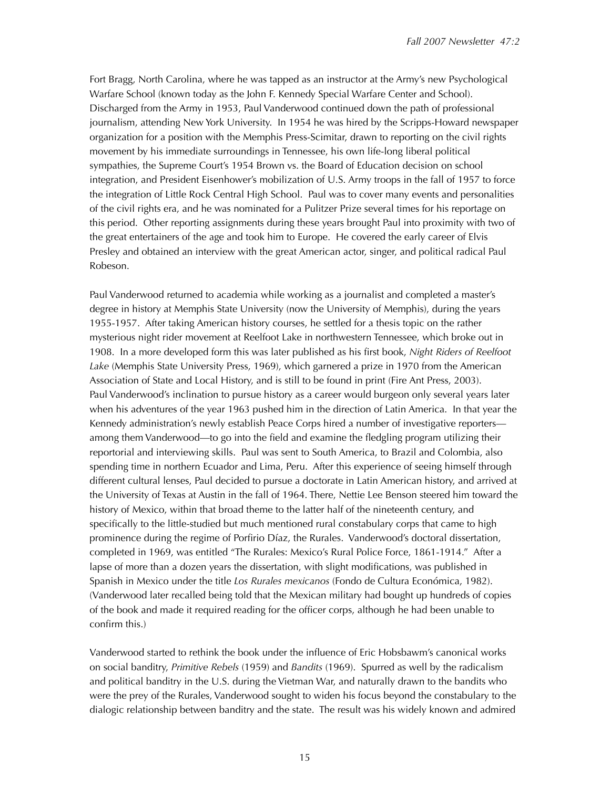Fort Bragg, North Carolina, where he was tapped as an instructor at the Army's new Psychological Warfare School (known today as the John F. Kennedy Special Warfare Center and School). Discharged from the Army in 1953, Paul Vanderwood continued down the path of professional journalism, attending New York University. In 1954 he was hired by the Scripps-Howard newspaper organization for a position with the Memphis Press-Scimitar, drawn to reporting on the civil rights movement by his immediate surroundings in Tennessee, his own life-long liberal political sympathies, the Supreme Court's 1954 Brown vs. the Board of Education decision on school integration, and President Eisenhower's mobilization of U.S. Army troops in the fall of 1957 to force the integration of Little Rock Central High School. Paul was to cover many events and personalities of the civil rights era, and he was nominated for a Pulitzer Prize several times for his reportage on this period. Other reporting assignments during these years brought Paul into proximity with two of the great entertainers of the age and took him to Europe. He covered the early career of Elvis Presley and obtained an interview with the great American actor, singer, and political radical Paul Robeson.

Paul Vanderwood returned to academia while working as a journalist and completed a master's degree in history at Memphis State University (now the University of Memphis), during the years 1955-1957. After taking American history courses, he settled for a thesis topic on the rather mysterious night rider movement at Reelfoot Lake in northwestern Tennessee, which broke out in 1908. In a more developed form this was later published as his first book, *Night Riders of Reelfoot Lake* (Memphis State University Press, 1969), which garnered a prize in 1970 from the American Association of State and Local History, and is still to be found in print (Fire Ant Press, 2003). Paul Vanderwood's inclination to pursue history as a career would burgeon only several years later when his adventures of the year 1963 pushed him in the direction of Latin America. In that year the Kennedy administration's newly establish Peace Corps hired a number of investigative reporters among them Vanderwood—to go into the field and examine the fledgling program utilizing their reportorial and interviewing skills. Paul was sent to South America, to Brazil and Colombia, also spending time in northern Ecuador and Lima, Peru. After this experience of seeing himself through different cultural lenses, Paul decided to pursue a doctorate in Latin American history, and arrived at the University of Texas at Austin in the fall of 1964. There, Nettie Lee Benson steered him toward the history of Mexico, within that broad theme to the latter half of the nineteenth century, and specifically to the little-studied but much mentioned rural constabulary corps that came to high prominence during the regime of Porfirio Díaz, the Rurales. Vanderwood's doctoral dissertation, completed in 1969, was entitled "The Rurales: Mexico's Rural Police Force, 1861-1914." After a lapse of more than a dozen years the dissertation, with slight modifications, was published in Spanish in Mexico under the title *Los Rurales mexicanos* (Fondo de Cultura Económica, 1982). (Vanderwood later recalled being told that the Mexican military had bought up hundreds of copies of the book and made it required reading for the officer corps, although he had been unable to confirm this.)

Vanderwood started to rethink the book under the influence of Eric Hobsbawm's canonical works on social banditry, *Primitive Rebels* (1959) and *Bandits* (1969). Spurred as well by the radicalism and political banditry in the U.S. during the Vietman War, and naturally drawn to the bandits who were the prey of the Rurales, Vanderwood sought to widen his focus beyond the constabulary to the dialogic relationship between banditry and the state. The result was his widely known and admired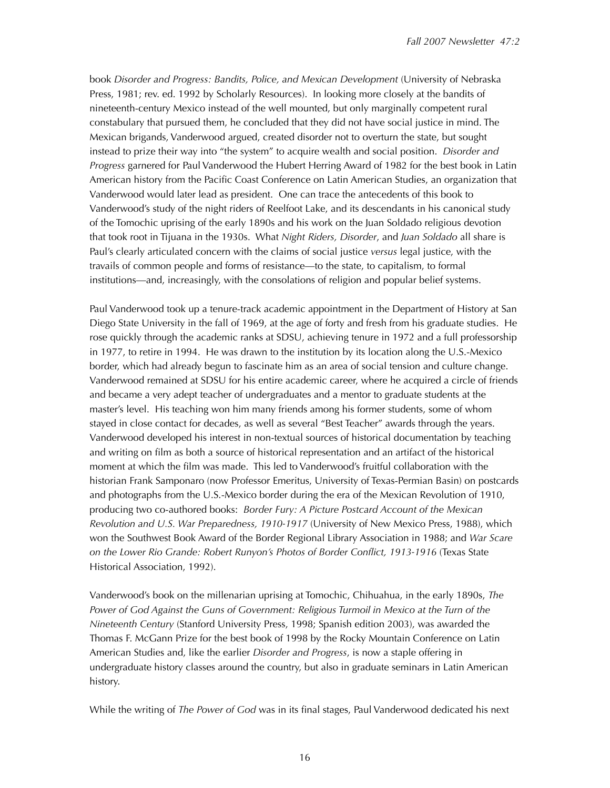book *Disorder and Progress: Bandits, Police, and Mexican Development* (University of Nebraska Press, 1981; rev. ed. 1992 by Scholarly Resources). In looking more closely at the bandits of nineteenth-century Mexico instead of the well mounted, but only marginally competent rural constabulary that pursued them, he concluded that they did not have social justice in mind. The Mexican brigands, Vanderwood argued, created disorder not to overturn the state, but sought instead to prize their way into "the system" to acquire wealth and social position. *Disorder and Progress* garnered for Paul Vanderwood the Hubert Herring Award of 1982 for the best book in Latin American history from the Pacific Coast Conference on Latin American Studies, an organization that Vanderwood would later lead as president. One can trace the antecedents of this book to Vanderwood's study of the night riders of Reelfoot Lake, and its descendants in his canonical study of the Tomochic uprising of the early 1890s and his work on the Juan Soldado religious devotion that took root in Tijuana in the 1930s. What *Night Riders, Disorder*, and *Juan Soldado* all share is Paul's clearly articulated concern with the claims of social justice *versus* legal justice, with the travails of common people and forms of resistance—to the state, to capitalism, to formal institutions—and, increasingly, with the consolations of religion and popular belief systems.

Paul Vanderwood took up a tenure-track academic appointment in the Department of History at San Diego State University in the fall of 1969, at the age of forty and fresh from his graduate studies. He rose quickly through the academic ranks at SDSU, achieving tenure in 1972 and a full professorship in 1977, to retire in 1994. He was drawn to the institution by its location along the U.S.-Mexico border, which had already begun to fascinate him as an area of social tension and culture change. Vanderwood remained at SDSU for his entire academic career, where he acquired a circle of friends and became a very adept teacher of undergraduates and a mentor to graduate students at the master's level. His teaching won him many friends among his former students, some of whom stayed in close contact for decades, as well as several "Best Teacher" awards through the years. Vanderwood developed his interest in non-textual sources of historical documentation by teaching and writing on film as both a source of historical representation and an artifact of the historical moment at which the film was made. This led to Vanderwood's fruitful collaboration with the historian Frank Samponaro (now Professor Emeritus, University of Texas-Permian Basin) on postcards and photographs from the U.S.-Mexico border during the era of the Mexican Revolution of 1910, producing two co-authored books: *Border Fury: A Picture Postcard Account of the Mexican Revolution and U.S. War Preparedness, 1910-1917* (University of New Mexico Press, 1988), which won the Southwest Book Award of the Border Regional Library Association in 1988; and *War Scare on the Lower Rio Grande: Robert Runyon's Photos of Border Conflict, 1913-1916* (Texas State Historical Association, 1992).

Vanderwood's book on the millenarian uprising at Tomochic, Chihuahua, in the early 1890s, *The*  Power of God Against the Guns of Government: Religious Turmoil in Mexico at the Turn of the *Nineteenth Century* (Stanford University Press, 1998; Spanish edition 2003), was awarded the Thomas F. McGann Prize for the best book of 1998 by the Rocky Mountain Conference on Latin American Studies and, like the earlier *Disorder and Progress*, is now a staple offering in undergraduate history classes around the country, but also in graduate seminars in Latin American history.

While the writing of *The Power of God* was in its final stages, Paul Vanderwood dedicated his next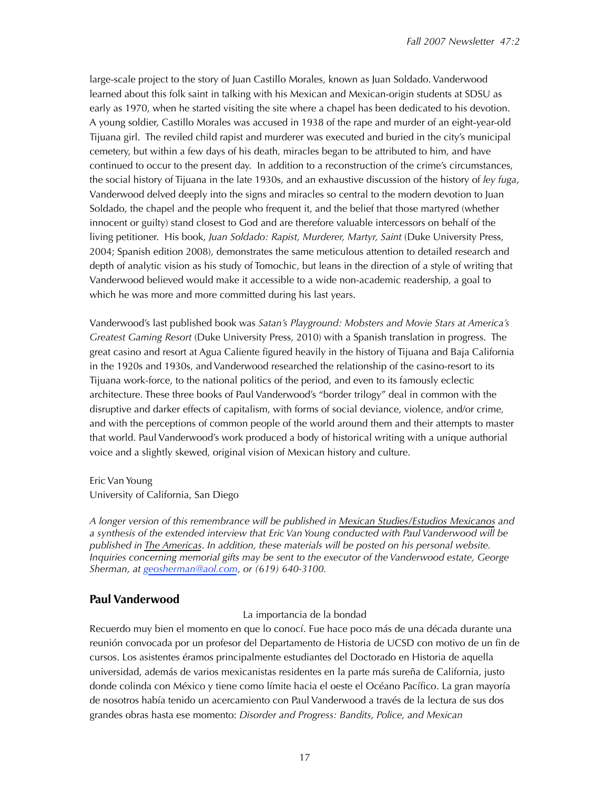large-scale project to the story of Juan Castillo Morales, known as Juan Soldado. Vanderwood learned about this folk saint in talking with his Mexican and Mexican-origin students at SDSU as early as 1970, when he started visiting the site where a chapel has been dedicated to his devotion. A young soldier, Castillo Morales was accused in 1938 of the rape and murder of an eight-year-old Tijuana girl. The reviled child rapist and murderer was executed and buried in the city's municipal cemetery, but within a few days of his death, miracles began to be attributed to him, and have continued to occur to the present day. In addition to a reconstruction of the crime's circumstances, the social history of Tijuana in the late 1930s, and an exhaustive discussion of the history of *ley fuga*, Vanderwood delved deeply into the signs and miracles so central to the modern devotion to Juan Soldado, the chapel and the people who frequent it, and the belief that those martyred (whether innocent or guilty) stand closest to God and are therefore valuable intercessors on behalf of the living petitioner. His book, *Juan Soldado: Rapist, Murderer, Martyr, Saint* (Duke University Press, 2004; Spanish edition 2008), demonstrates the same meticulous attention to detailed research and depth of analytic vision as his study of Tomochic, but leans in the direction of a style of writing that Vanderwood believed would make it accessible to a wide non-academic readership, a goal to which he was more and more committed during his last years.

Vanderwood's last published book was *Satan's Playground: Mobsters and Movie Stars at America's Greatest Gaming Resort* (Duke University Press, 2010) with a Spanish translation in progress. The great casino and resort at Agua Caliente figured heavily in the history of Tijuana and Baja California in the 1920s and 1930s, and Vanderwood researched the relationship of the casino-resort to its Tijuana work-force, to the national politics of the period, and even to its famously eclectic architecture. These three books of Paul Vanderwood's "border trilogy" deal in common with the disruptive and darker effects of capitalism, with forms of social deviance, violence, and/or crime, and with the perceptions of common people of the world around them and their attempts to master that world. Paul Vanderwood's work produced a body of historical writing with a unique authorial voice and a slightly skewed, original vision of Mexican history and culture.

Eric Van Young University of California, San Diego

*A longer version of this remembrance will be published in Mexican Studies/Estudios Mexicanos and a synthesis of the extended interview that Eric Van Young conducted with Paul Vanderwood will be published in The Americas*. *In addition, these materials will be posted on his personal website. Inquiries concerning memorial gifts may be sent to the executor of the Vanderwood estate, George Sherman, at [geosherman@aol.com,](mailto:geosherman@aol.com) or (619) 640-3100.*

# **Paul Vanderwood**

## La importancia de la bondad

Recuerdo muy bien el momento en que lo conocí. Fue hace poco más de una década durante una reunión convocada por un profesor del Departamento de Historia de UCSD con motivo de un fin de cursos. Los asistentes éramos principalmente estudiantes del Doctorado en Historia de aquella universidad, además de varios mexicanistas residentes en la parte más sureña de California, justo donde colinda con México y tiene como límite hacia el oeste el Océano Pacífico. La gran mayoría de nosotros había tenido un acercamiento con Paul Vanderwood a través de la lectura de sus dos grandes obras hasta ese momento: *Disorder and Progress: Bandits, Police, and Mexican*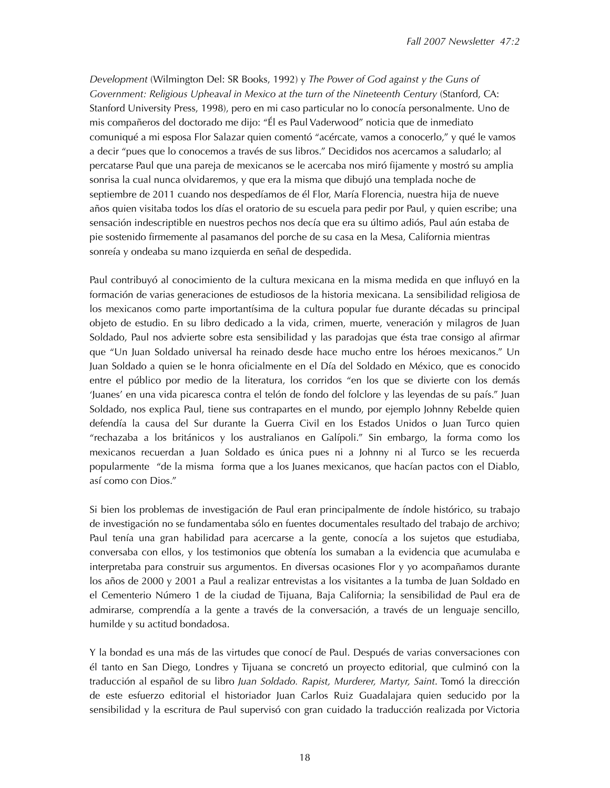*Development* (Wilmington Del: SR Books, 1992) y *The Power of God against y the Guns of Government: Religious Upheaval in Mexico at the turn of the Nineteenth Century* (Stanford, CA: Stanford University Press, 1998), pero en mi caso particular no lo conocía personalmente. Uno de mis compañeros del doctorado me dijo: "Él es Paul Vaderwood" noticia que de inmediato comuniqué a mi esposa Flor Salazar quien comentó "acércate, vamos a conocerlo," y qué le vamos a decir "pues que lo conocemos a través de sus libros." Decididos nos acercamos a saludarlo; al percatarse Paul que una pareja de mexicanos se le acercaba nos miró fijamente y mostró su amplia sonrisa la cual nunca olvidaremos, y que era la misma que dibujó una templada noche de septiembre de 2011 cuando nos despedíamos de él Flor, María Florencia, nuestra hija de nueve años quien visitaba todos los días el oratorio de su escuela para pedir por Paul, y quien escribe; una sensación indescriptible en nuestros pechos nos decía que era su último adiós, Paul aún estaba de pie sostenido firmemente al pasamanos del porche de su casa en la Mesa, California mientras sonreía y ondeaba su mano izquierda en señal de despedida.

Paul contribuyó al conocimiento de la cultura mexicana en la misma medida en que influyó en la formación de varias generaciones de estudiosos de la historia mexicana. La sensibilidad religiosa de los mexicanos como parte importantísima de la cultura popular fue durante décadas su principal objeto de estudio. En su libro dedicado a la vida, crimen, muerte, veneración y milagros de Juan Soldado, Paul nos advierte sobre esta sensibilidad y las paradojas que ésta trae consigo al afirmar que "Un Juan Soldado universal ha reinado desde hace mucho entre los héroes mexicanos." Un Juan Soldado a quien se le honra oficialmente en el Día del Soldado en México, que es conocido entre el público por medio de la literatura, los corridos "en los que se divierte con los demás 'Juanes' en una vida picaresca contra el telón de fondo del folclore y las leyendas de su país." Juan Soldado, nos explica Paul, tiene sus contrapartes en el mundo, por ejemplo Johnny Rebelde quien defendía la causa del Sur durante la Guerra Civil en los Estados Unidos o Juan Turco quien "rechazaba a los británicos y los australianos en Galípoli." Sin embargo, la forma como los mexicanos recuerdan a Juan Soldado es única pues ni a Johnny ni al Turco se les recuerda popularmente "de la misma forma que a los Juanes mexicanos, que hacían pactos con el Diablo, así como con Dios."

Si bien los problemas de investigación de Paul eran principalmente de índole histórico, su trabajo de investigación no se fundamentaba sólo en fuentes documentales resultado del trabajo de archivo; Paul tenía una gran habilidad para acercarse a la gente, conocía a los sujetos que estudiaba, conversaba con ellos, y los testimonios que obtenía los sumaban a la evidencia que acumulaba e interpretaba para construir sus argumentos. En diversas ocasiones Flor y yo acompañamos durante los años de 2000 y 2001 a Paul a realizar entrevistas a los visitantes a la tumba de Juan Soldado en el Cementerio Número 1 de la ciudad de Tijuana, Baja California; la sensibilidad de Paul era de admirarse, comprendía a la gente a través de la conversación, a través de un lenguaje sencillo, humilde y su actitud bondadosa.

Y la bondad es una más de las virtudes que conocí de Paul. Después de varias conversaciones con él tanto en San Diego, Londres y Tijuana se concretó un proyecto editorial, que culminó con la traducción al español de su libro *Juan Soldado. Rapist, Murderer, Martyr, Saint*. Tomó la dirección de este esfuerzo editorial el historiador Juan Carlos Ruiz Guadalajara quien seducido por la sensibilidad y la escritura de Paul supervisó con gran cuidado la traducción realizada por Victoria